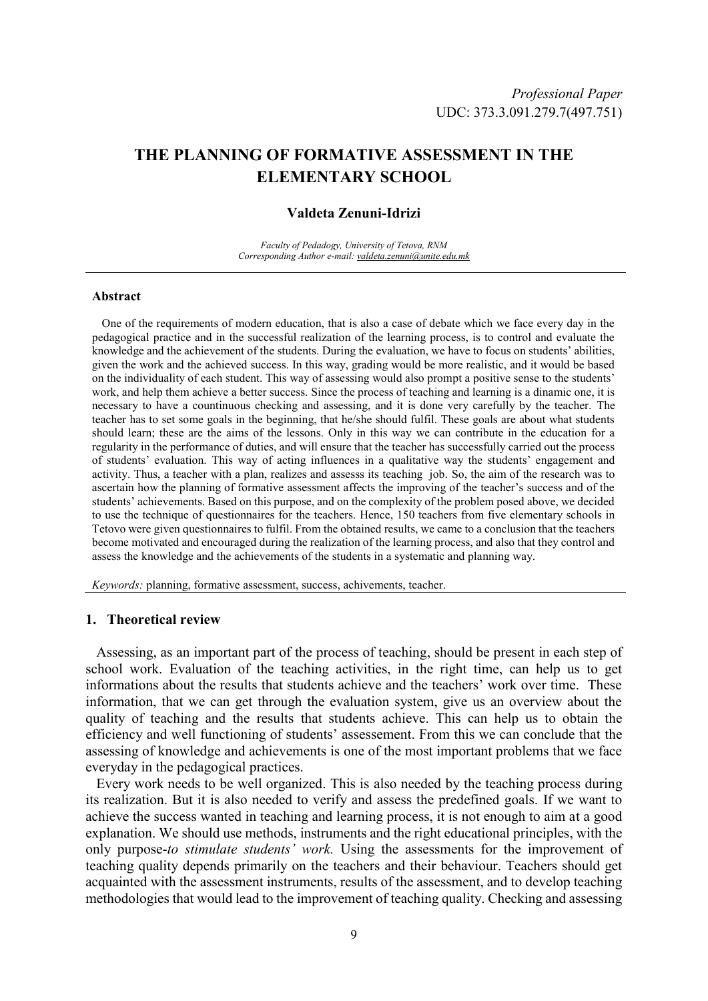# **THE PLANNING OF FORMATIVE ASSESSMENT IN THE ELEMENTARY SCHOOL**

### **Valdeta Zenuni-Idrizi**

*Faculty of Pedadogy, University of Tetova, RNM Corresponding Author e-mail: valdeta.zenuni@unite.edu.mk*

#### **Abstract**

One of the requirements of modern education, that is also a case of debate which we face every day in the pedagogical practice and in the successful realization of the learning process, is to control and evaluate the knowledge and the achievement of the students. During the evaluation, we have to focus on students' abilities, given the work and the achieved success. In this way, grading would be more realistic, and it would be based on the individuality of each student. This way of assessing would also prompt a positive sense to the students' work, and help them achieve a better success. Since the process of teaching and learning is a dinamic one, it is necessary to have a countinuous checking and assessing, and it is done very carefully by the teacher. The teacher has to set some goals in the beginning, that he/she should fulfil. These goals are about what students should learn; these are the aims of the lessons. Only in this way we can contribute in the education for a regularity in the performance of duties, and will ensure that the teacher has successfully carried out the process of students' evaluation. This way of acting influences in a qualitative way the students' engagement and activity. Thus, a teacher with a plan, realizes and assesss its teaching job. So, the aim of the research was to ascertain how the planning of formative assessment affects the improving of the teacher's success and of the students' achievements. Based on this purpose, and on the complexity of the problem posed above, we decided to use the technique of questionnaires for the teachers. Hence, 150 teachers from five elementary schools in Tetovo were given questionnaires to fulfil. From the obtained results, we came to a conclusion that the teachers become motivated and encouraged during the realization of the learning process, and also that they control and assess the knowledge and the achievements of the students in a systematic and planning way.

*Keywords:* planning, formative assessment, success, achivements, teacher.

# **1. Theoretical review**

Assessing, as an important part of the process of teaching, should be present in each step of school work. Evaluation of the teaching activities, in the right time, can help us to get informations about the results that students achieve and the teachers' work over time. These information, that we can get through the evaluation system, give us an overview about the quality of teaching and the results that students achieve. This can help us to obtain the efficiency and well functioning of students' assessement. From this we can conclude that the assessing of knowledge and achievements is one of the most important problems that we face everyday in the pedagogical practices.

Every work needs to be well organized. This is also needed by the teaching process during its realization. But it is also needed to verify and assess the predefined goals. If we want to achieve the success wanted in teaching and learning process, it is not enough to aim at a good explanation. We should use methods, instruments and the right educational principles, with the only purpose-*to stimulate students' work.* Using the assessments for the improvement of teaching quality depends primarily on the teachers and their behaviour. Teachers should get acquainted with the assessment instruments, results of the assessment, and to develop teaching methodologies that would lead to the improvement of teaching quality. Checking and assessing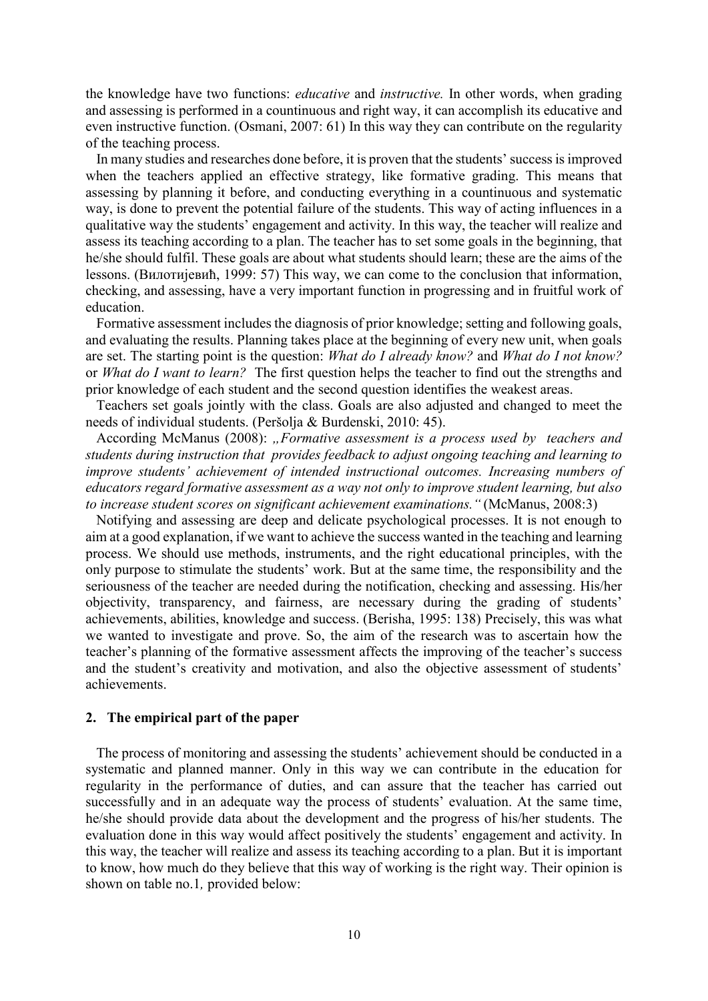the knowledge have two functions: *educative* and *instructive.* In other words, when grading and assessing is performed in a countinuous and right way, it can accomplish its educative and even instructive function. (Osmani, 2007: 61) In this way they can contribute on the regularity of the teaching process.

In many studies and researches done before, it is proven that the students' success is improved when the teachers applied an effective strategy, like formative grading. This means that assessing by planning it before, and conducting everything in a countinuous and systematic way, is done to prevent the potential failure of the students. This way of acting influences in a qualitative way the students' engagement and activity. In this way, the teacher will realize and assess its teaching according to a plan. The teacher has to set some goals in the beginning, that he/she should fulfil. These goals are about what students should learn; these are the aims of the lessons. (Вилотијевиħ, 1999: 57) This way, we can come to the conclusion that information, checking, and assessing, have a very important function in progressing and in fruitful work of education.

Formative assessment includes the diagnosis of prior knowledge; setting and following goals, and evaluating the results. Planning takes place at the beginning of every new unit, when goals are set. The starting point is the question: *What do I already know?* and *What do I not know?* or *What do I want to learn?* The first question helps the teacher to find out the strengths and prior knowledge of each student and the second question identifies the weakest areas.

Teachers set goals jointly with the class. Goals are also adjusted and changed to meet the needs of individual students. (Peršolja & Burdenski, 2010: 45).

According McManus (2008): "Formative assessment is a process used by teachers and *students during instruction that provides feedback to adjust ongoing teaching and learning to improve students' achievement of intended instructional outcomes. Increasing numbers of educators regard formative assessment as a way not only to improve student learning, but also to increase student scores on significant achievement examinations."* (McManus, 2008:3)

Notifying and assessing are deep and delicate psychological processes. It is not enough to aim at a good explanation, if we want to achieve the success wanted in the teaching and learning process. We should use methods, instruments, and the right educational principles, with the only purpose to stimulate the students' work. But at the same time, the responsibility and the seriousness of the teacher are needed during the notification, checking and assessing. His/her objectivity, transparency, and fairness, are necessary during the grading of students' achievements, abilities, knowledge and success. (Berisha, 1995: 138) Precisely, this was what we wanted to investigate and prove. So, the aim of the research was to ascertain how the teacher's planning of the formative assessment affects the improving of the teacher's success and the student's creativity and motivation, and also the objective assessment of students' achievements.

#### **2. The empirical part of the paper**

The process of monitoring and assessing the students' achievement should be conducted in a systematic and planned manner. Only in this way we can contribute in the education for regularity in the performance of duties, and can assure that the teacher has carried out successfully and in an adequate way the process of students' evaluation. At the same time, he/she should provide data about the development and the progress of his/her students. The evaluation done in this way would affect positively the students' engagement and activity. In this way, the teacher will realize and assess its teaching according to a plan. But it is important to know, how much do they believe that this way of working is the right way. Their opinion is shown on table no.1*,* provided below: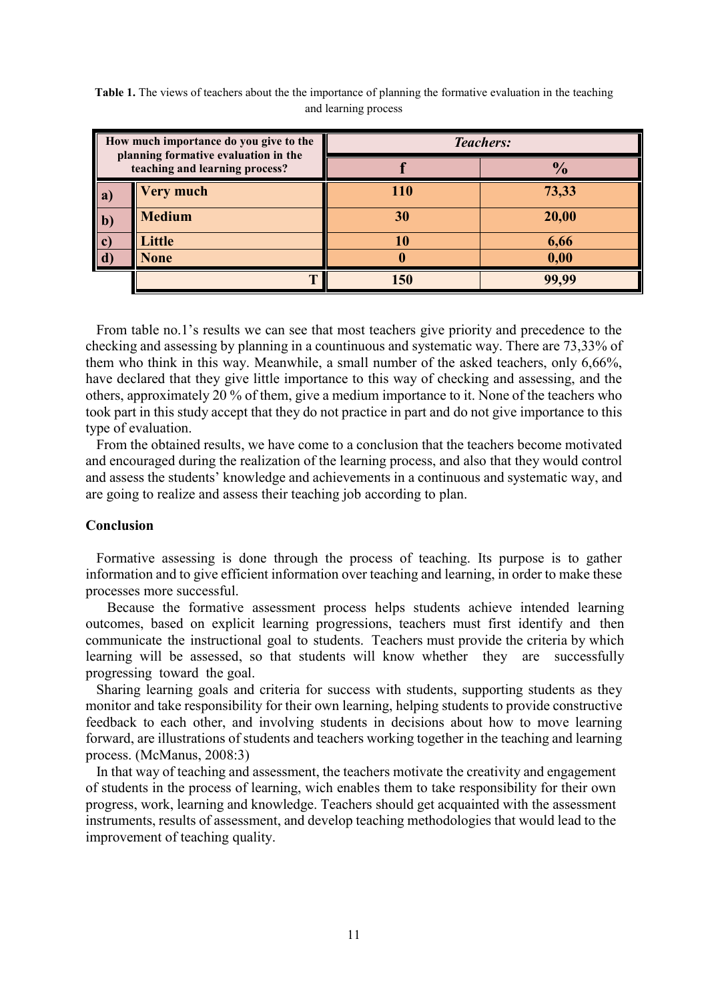| How much importance do you give to the<br>planning formative evaluation in the<br>teaching and learning process? |                  | <b>Teachers:</b> |               |
|------------------------------------------------------------------------------------------------------------------|------------------|------------------|---------------|
|                                                                                                                  |                  |                  | $\frac{1}{2}$ |
| a)                                                                                                               | <b>Very much</b> | 110              | 73,33         |
| $\mathbf{b}$                                                                                                     | <b>Medium</b>    | 30               | 20,00         |
| $\vert$ c)                                                                                                       | Little           | 10               | 6,66          |
|                                                                                                                  | <b>None</b>      | 0                | 0,00          |
|                                                                                                                  | m                | 150              | 99.99         |

**Table 1.** The views of teachers about the the importance of planning the formative evaluation in the teaching and learning process

From table no.1's results we can see that most teachers give priority and precedence to the **l** checking and assessing by planning in a countinuous and systematic way. There are 73,33% of them who think in this way. Meanwhile, a small number of the asked teachers, only 6,66%, have declared that they give little importance to this way of checking and assessing, and the others, approximately 20 % of them, give a medium importance to it. None of the teachers who took part in this study accept that they do not practice in part and do not give importance to this type of evaluation.

From the obtained results, we have come to a conclusion that the teachers become motivated and encouraged during the realization of the learning process, and also that they would control and assess the students' knowledge and achievements in a continuous and systematic way, and are going to realize and assess their teaching job according to plan.

## **Conclusion**

Formative assessing is done through the process of teaching. Its purpose is to gather information and to give efficient information over teaching and learning, in order to make these processes more successful.

 Because the formative assessment process helps students achieve intended learning outcomes, based on explicit learning progressions, teachers must first identify and then communicate the instructional goal to students. Тeachers must provide the criteria by which learning will be assessed, so that students will know whether they are successfully progressing toward the goal.

Sharing learning goals and criteria for success with students, supporting students as they monitor and take responsibility for their own learning, helping students to provide constructive feedback to each other, and involving students in decisions about how to move learning forward, are illustrations of students and teachers working together in the teaching and learning process. (McManus, 2008:3)

In that way of teaching and assessment, the teachers motivate the creativity and engagement of students in the process of learning, wich enables them to take responsibility for their own progress, work, learning and knowledge. Teachers should get acquainted with the assessment instruments, results of assessment, and develop teaching methodologies that would lead to the improvement of teaching quality.